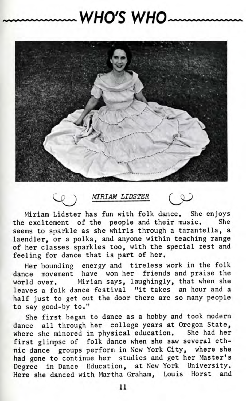## **WHO'S WHO**



MIRIAM LIDSTER  $\infty$ 

Miriam Lidster has fun with folk dance. She enjoys the excitement of the people and their music. She seems to sparkle as she whirls through a tarantella, a laendler, or a polka, and anyone within teaching range of her classes sparkles too, with the special zest and feeling for dance that is part of her.

Her bounding energy and tireless work in the folk dance movement have won her friends and praise the world over. Miriam says, laughingly, that when she leaves a folk dance festival "it takes an hour and a half just to get out the door there are so many people to say good-by to."

She first began to dance as a hobby and took modern dance all through her college years at Oregon State, where she minored in physical education. She had her first glimpse of folk dance when she saw several ethnic dance groups perform in New York City, where she had gone to continue her studies and get her Master's Degree in Dance Education, at New York University. Here she danced with Martha Graham, Louis Horst and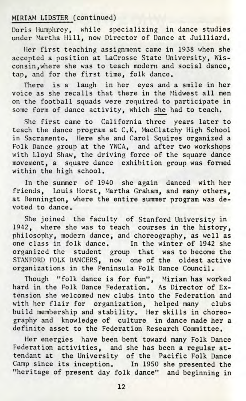## MIRIAM LIDSTER (continued)

Doris Humphrey, while specializing in dance studies under Martha Hill, now Director of Dance at Juilliard.

Her first teaching assignment came in 1938 when she accepted a position at LaCrosse State University, Wisconsin, where she was to teach modern and social dance, tap, and for the first time, folk dance.

There is a laugh in her eyes and a smile in her voice as she recalls that there in the Midwest all men on the football squads were required to participate in some form of dance activity, which she had to teach.

She first came to California three years later to teach the dance program at C.K. MacClatchy High School in Sacramento. Here she and Carol Squires organized a Folk Dance group at the YWCA, and after two workshops with Lloyd Shaw, the driving force of the square dance movement, a square dance exhibition group was formed within the high school.

In the summer of 1940 she again danced with her friends, Louis Horst, Martha Graham, and many others, at Bennington, where the entire summer program was devoted to dance.

She joined the faculty of Stanford University in 1942, where she was to teach courses in the history, philosophy, modern dance, and choreography, as well as one class in folk dance. In the winter of 1942 she organized the student group that was to become the STANFORD FOLK DANCERS, now one of the oldest active organizations in the Peninsula Folk Dance Council.

Though "folk dance is for fun", Miriam has worked hard in the Folk Dance Federation. As Director of Extension she welcomed new clubs into the Federation and with her flair for organization, helped many clubs build membership and stability. Her skills in choreography and knowledge of culture in dance made her a definite asset to the Federation Research Committee.

Her energies have been bent toward many Folk Dance Federation activities, and she has been a regular attendant at the University of the Pacific Folk Dance Camp since its inception. In 1950 she presented the "heritage of present day folk dance" and beginning in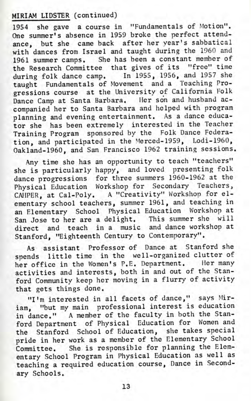## MIRIAM LIDSTER (continued)

1954 she gave a course in "Fundamentals of Motion". One summer's absence in 1959 broke the perfect attendance, but she came back after her year's sabbatical with dances from Israel and taught during the 1960 and 1961 summer camps. She has been a constant member of the Research Committee that gives of its "free" time during folk dance camp. In 1955, 1956, and 1957 she taught Fundamentals of Movement and a Teaching Progressions course at the University of California Folk Dance Camp at Santa Barbara. Her son and husband accompanied her to Santa Barbara and helped with program planning and evening entertainment. As a dance educator she has been extremely interested in the Teacher Training Program sponsored by the Folk Dance Federation, and participated in the Merced-1959, Lodi-1960, Oakland-1960, and San Francisco 1962 training sessions.

Any time she has an opportunity to teach "teachers" she is particularly happy, and loved presenting folk dance progressions for three summers 1960-1962 at the Physical Education Workshop for Secondary Teachers, CAIIPER, at Cal-Poly. A "Creativity" Workshop for elementary school teachers, summer 1961, and teaching in an Elementary School Physical Education Workshop at San Jose to her are a delight. This summer she will direct and teach in a music and dance workshop at Stanford, "Eighteenth Century to Contemporary".

As assistant Professor of Dance at Stanford she spends little time in the well-organized clutter of her office in the Women's P.E. Department. Her many activities and interests, both in and out of the Stanford Community keep her moving in a flurry of activity that gets things done.

"I'm interested in all facets of dance," says Miriam, "but my main professional interest is education in dance." A member of the faculty in both the Stanford Department of Physical Education for Women and the Stanford School of Education, she takes special pride in her work as a member of the Elementary School Committee. She is responsible for planning the Elementary School Program in Physical Education as well as teaching a required education course, Dance in Secondary Schools.